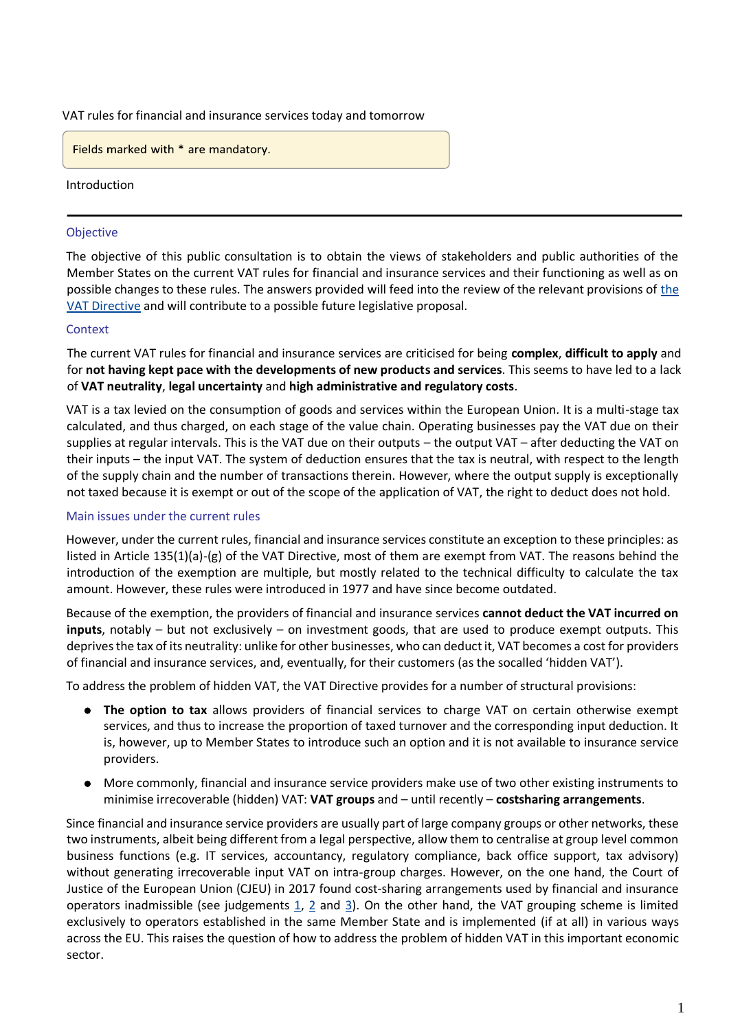VAT rules for financial and insurance services today and tomorrow

Fields marked with \* are mandatory.

Introduction

#### Objective

The objective of this public consultation is to obtain the views of stakeholders and public authorities of the Member States on the current VAT rules for financial and insurance services and their functioning as well as on possible changes to these rules. The answers provided will feed into the review of the relevant provisions of [the](https://eur-lex.europa.eu/eli/dir/2006/112/oj)  [VAT Directive](https://eur-lex.europa.eu/eli/dir/2006/112/oj) and will contribute to a possible future legislative proposal.

#### **Context**

The current VAT rules for financial and insurance services are criticised for being **complex**, **difficult to apply** and for **not having kept pace with the developments of new products and services**. This seems to have led to a lack of **VAT neutrality**, **legal uncertainty** and **high administrative and regulatory costs**.

VAT is a tax levied on the consumption of goods and services within the European Union. It is a multi-stage tax calculated, and thus charged, on each stage of the value chain. Operating businesses pay the VAT due on their supplies at regular intervals. This is the VAT due on their outputs – the output VAT – after deducting the VAT on their inputs – the input VAT. The system of deduction ensures that the tax is neutral, with respect to the length of the supply chain and the number of transactions therein. However, where the output supply is exceptionally not taxed because it is exempt or out of the scope of the application of VAT, the right to deduct does not hold.

#### Main issues under the current rules

However, under the current rules, financial and insurance services constitute an exception to these principles: as listed in Article 135(1)(a)-(g) of the VAT Directive, most of them are exempt from VAT. The reasons behind the introduction of the exemption are multiple, but mostly related to the technical difficulty to calculate the tax amount. However, these rules were introduced in 1977 and have since become outdated.

Because of the exemption, the providers of financial and insurance services **cannot deduct the VAT incurred on inputs**, notably – but not exclusively – on investment goods, that are used to produce exempt outputs. This deprives the tax of its neutrality: unlike for other businesses, who can deduct it, VAT becomes a cost for providers of financial and insurance services, and, eventually, for their customers (as the socalled 'hidden VAT').

To address the problem of hidden VAT, the VAT Directive provides for a number of structural provisions:

- **The option to tax** allows providers of financial services to charge VAT on certain otherwise exempt services, and thus to increase the proportion of taxed turnover and the corresponding input deduction. It is, however, up to Member States to introduce such an option and it is not available to insurance service providers.
- More commonly, financial and insurance service providers make use of two other existing instruments to minimise irrecoverable (hidden) VAT: **VAT groups** and – until recently – **costsharing arrangements**.

Since financial and insurance service providers are usually part of large company groups or other networks, these two instruments, albeit being different from a legal perspective, allow them to centralise at group level common business functions (e.g. IT services, accountancy, regulatory compliance, back office support, tax advisory) without generating irrecoverable input VAT on intra-group charges. However, on the one hand, the Court of Justice of the European Union (CJEU) in 2017 found cost-sharing arrangements used by financial and insurance operators inadmissible (see judgements [1,](http://curia.europa.eu/juris/document/document.jsf;jsessionid=EAD520AE38295B97CF168C8E4773B457?text=&docid=194787&pageIndex=0&doclang=EN&mode=lst&dir=&occ=first&part=1&cid=17258432) [2](http://curia.europa.eu/juris/document/document.jsf?text=&docid=194781&pageIndex=0&doclang=EN&mode=lst&dir=&occ=first&part=1&cid=17258608) and [3\)](http://curia.europa.eu/juris/document/document.jsf?text=&docid=194792&pageIndex=0&doclang=EN&mode=lst&dir=&occ=first&part=1&cid=17258722). On the other hand, the VAT grouping scheme is limited exclusively to operators established in the same Member State and is implemented (if at all) in various ways across the EU. This raises the question of how to address the problem of hidden VAT in this important economic sector.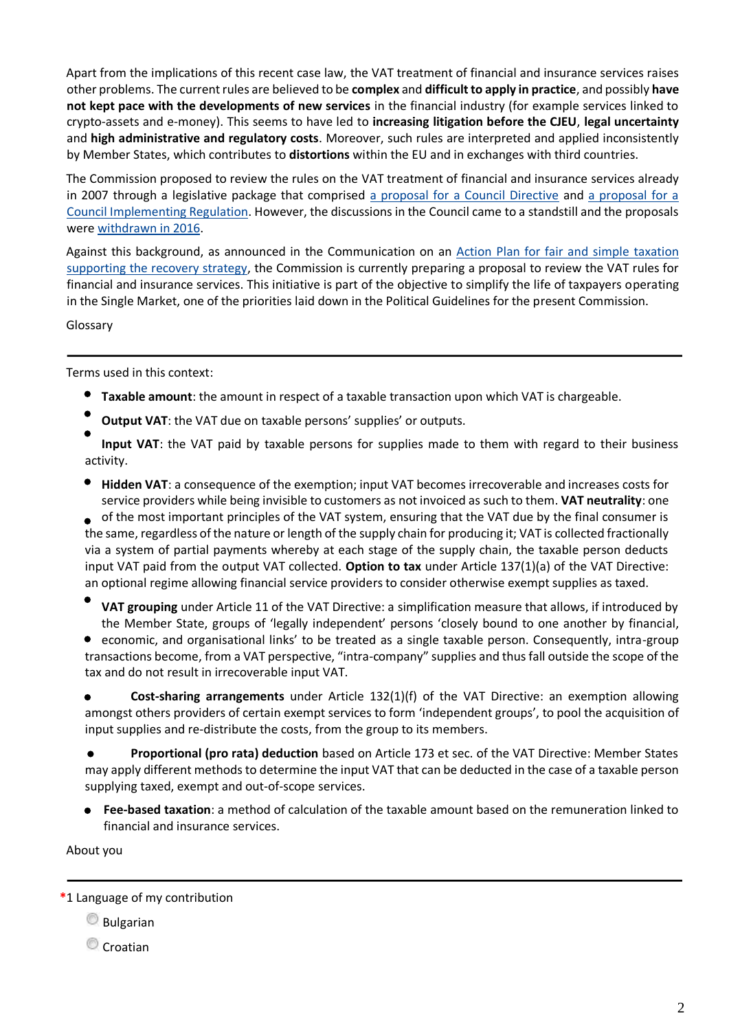Apart from the implications of this recent case law, the VAT treatment of financial and insurance services raises other problems. The current rules are believed to be **complex** and **difficult to apply in practice**, and possibly **have not kept pace with the developments of new services** in the financial industry (for example services linked to crypto-assets and e-money). This seems to have led to **increasing litigation before the CJEU**, **legal uncertainty** and **high administrative and regulatory costs**. Moreover, such rules are interpreted and applied inconsistently by Member States, which contributes to **distortions** within the EU and in exchanges with third countries.

The Commission proposed to review the rules on the VAT treatment of financial and insurance services already in 2007 through a legislative package that comprised [a proposal for a Council Directive](https://eur-lex.europa.eu/legal-content/EN/TXT/?uri=celex%3A52007PC0747) and [a proposal for a](https://eur-lex.europa.eu/procedure/EN/196485)  [Council Implementing Regulation.](https://eur-lex.europa.eu/procedure/EN/196485) However, the discussions in the Council came to a standstill and the proposals wer[e withdrawn in 2016.](https://eur-lex.europa.eu/legal-content/en/ALL/?uri=CELEX%3A52016XC0430%2801%29)

Against this background, as announced in the Communication on an [Action Plan for fair and simple taxation](https://ec.europa.eu/taxation_customs/sites/taxation/files/2020_tax_package_tax_action_plan_en.pdf)  [supporting the recovery strategy,](https://ec.europa.eu/taxation_customs/sites/taxation/files/2020_tax_package_tax_action_plan_en.pdf) the Commission is currently preparing a proposal to review the VAT rules for financial and insurance services. This initiative is part of the objective to simplify the life of taxpayers operating in the Single Market, one of the priorities laid down in the Political Guidelines for the present Commission.

Glossary

Terms used in this context:

- **Taxable amount**: the amount in respect of a taxable transaction upon which VAT is chargeable.
- **Output VAT**: the VAT due on taxable persons' supplies' or outputs.

**Input VAT**: the VAT paid by taxable persons for supplies made to them with regard to their business activity.

**Hidden VAT**: a consequence of the exemption; input VAT becomes irrecoverable and increases costs for service providers while being invisible to customers as not invoiced as such to them. **VAT neutrality**: one

of the most important principles of the VAT system, ensuring that the VAT due by the final consumer is the same, regardless of the nature or length of the supply chain for producing it; VAT is collected fractionally via a system of partial payments whereby at each stage of the supply chain, the taxable person deducts input VAT paid from the output VAT collected. **Option to tax** under Article 137(1)(a) of the VAT Directive: an optional regime allowing financial service providers to consider otherwise exempt supplies as taxed.

- **VAT grouping** under Article 11 of the VAT Directive: a simplification measure that allows, if introduced by the Member State, groups of 'legally independent' persons 'closely bound to one another by financial,
- economic, and organisational links' to be treated as a single taxable person. Consequently, intra-group transactions become, from a VAT perspective, "intra-company" supplies and thus fall outside the scope of the tax and do not result in irrecoverable input VAT.

**Cost-sharing arrangements** under Article 132(1)(f) of the VAT Directive: an exemption allowing amongst others providers of certain exempt services to form 'independent groups', to pool the acquisition of input supplies and re-distribute the costs, from the group to its members.

**Proportional (pro rata) deduction** based on Article 173 et sec. of the VAT Directive: Member States  $\bullet$ may apply different methods to determine the input VAT that can be deducted in the case of a taxable person supplying taxed, exempt and out-of-scope services.

**Fee-based taxation**: a method of calculation of the taxable amount based on the remuneration linked to financial and insurance services.

About you

**Bulgarian** 

Croatian

**<sup>\*</sup>**1 Language of my contribution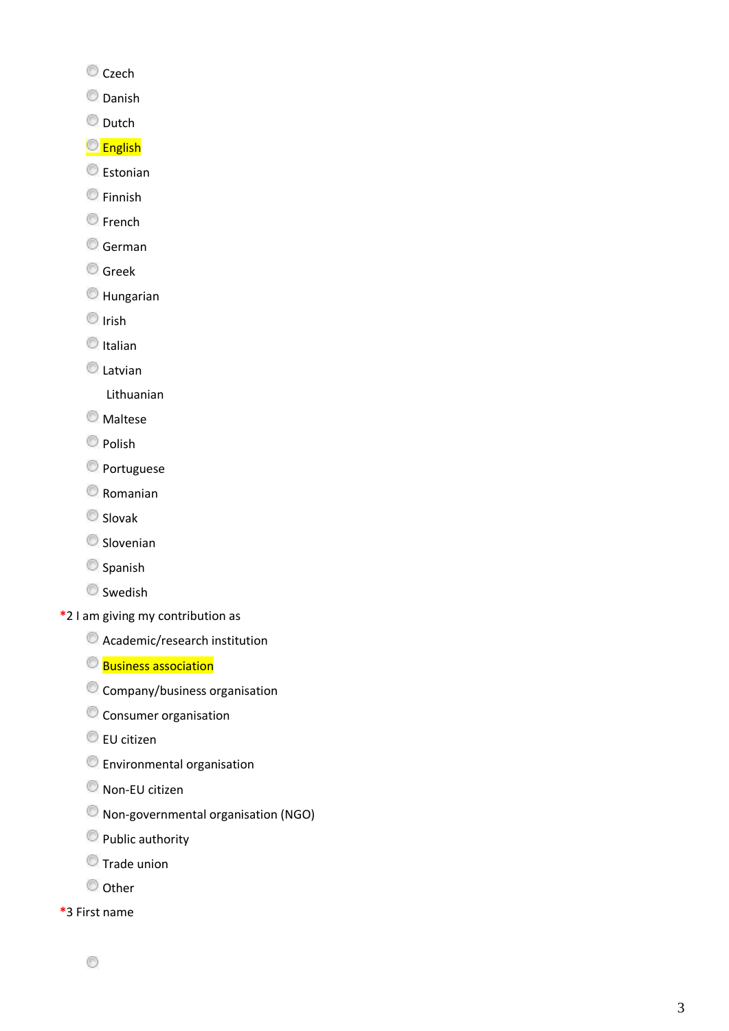- Czech
- **O** Danish
- O Dutch
- **C**English
- **Estonian**
- Finnish
- **C**French
- German
- **Greek**
- Hungarian
- $\circledcirc$  Irish
- $<sup>•</sup>$ Italian</sup>
- **C** Latvian
	- Lithuanian
- **Maltese**
- **Polish**
- **O** Portuguese
- Romanian
- Slovak
- Slovenian
- Spanish
- **Swedish**
- **\***2 I am giving my contribution as
	- Academic/research institution
	- **Business association**
	- Company/business organisation
	- Consumer organisation
	- EU citizen
	- Environmental organisation
	- Non-EU citizen
	- Non-governmental organisation (NGO)
	- **Public authority**
	- Trade union
	- © Other
- **\***3 First name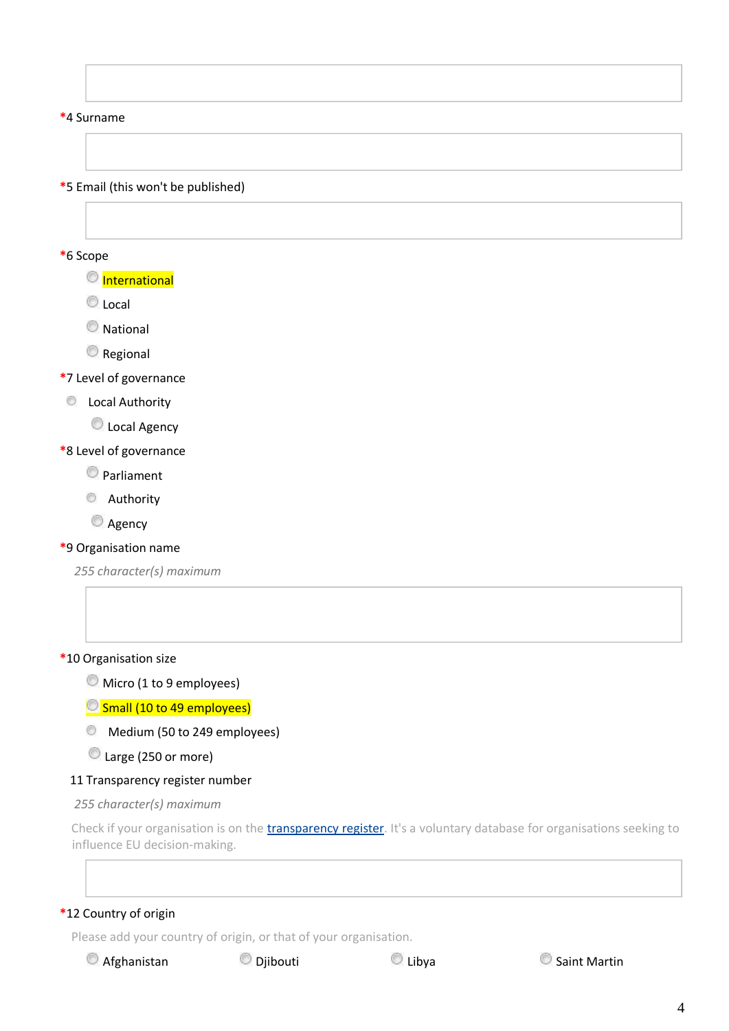#### **\***4 Surname

**\***5 Email (this won't be published)

#### **\***6 Scope

**O** International

C Local

**National** 

**Regional** 

**\***7 Level of governance

**C** Local Authority

C Local Agency

# **\***8 Level of governance

Parliament

**C** Authority

**Agency** 

# **\***9 Organisation name

*255 character(s) maximum*

# **\***10 Organisation size

Micro (1 to 9 employees)

**Small (10 to 49 employees)** 

Medium (50 to 249 employees)

Large (250 or more)

#### 11 Transparency register number

*255 character(s) maximum*

Check if your organisation is on the *transparency register*. It's a voluntary database for organisations seeking to influence EU decision-making.

# **\***12 Country of origin

Please add your country of origin, or that of your organisation.

 $\bullet$  Afghanistan  $\bullet$  Djibouti  $\bullet$  Libya  $\bullet$  Saint Martin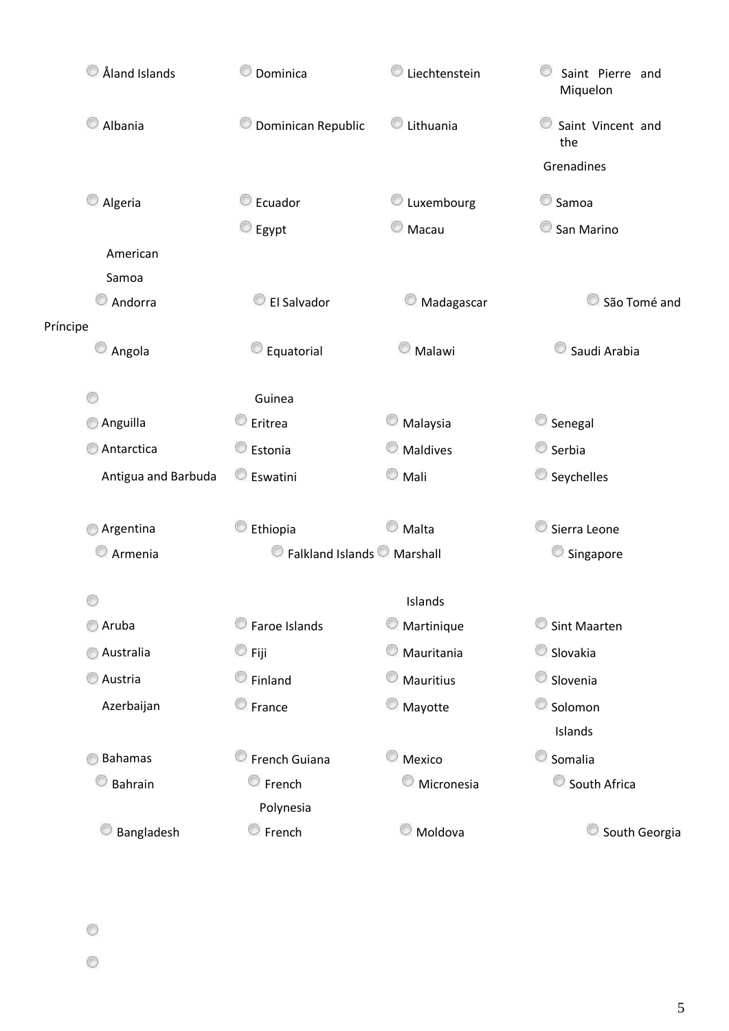|          | Aland Islands       | Dominica                               | Liechtenstein   | Saint Pierre and<br>Miquelon  |  |
|----------|---------------------|----------------------------------------|-----------------|-------------------------------|--|
|          | Albania             | Dominican Republic                     | Lithuania<br>O  | O<br>Saint Vincent and<br>the |  |
|          |                     |                                        |                 | Grenadines                    |  |
|          | Algeria             | Ecuador                                | Luxembourg      | Samoa                         |  |
|          |                     | $\heartsuit$ Egypt                     | C Macau         | San Marino                    |  |
|          | American            |                                        |                 |                               |  |
|          | Samoa               |                                        |                 |                               |  |
|          | Andorra             | El Salvador                            | Madagascar<br>O | São Tomé and<br>O.            |  |
| Príncipe |                     |                                        |                 |                               |  |
|          | Angola              | Equatorial                             | Malawi          | Saudi Arabia                  |  |
|          |                     |                                        |                 |                               |  |
|          | O                   | Guinea                                 |                 |                               |  |
|          | Anguilla            | C Eritrea                              | Malaysia        | Senegal<br>Serbia             |  |
|          | Antarctica          | <b>Estonia</b>                         | Maldives        |                               |  |
|          | Antigua and Barbuda | <b>Eswatini</b>                        | $\odot$ Mali    | Seychelles                    |  |
|          |                     |                                        |                 |                               |  |
|          | Argentina           | Ethiopia                               | C Malta         | Sierra Leone                  |  |
|          | Armenia             | Ralkland Islands <sup>O</sup> Marshall |                 | Singapore                     |  |
|          |                     |                                        |                 |                               |  |
|          |                     |                                        | Islands         |                               |  |
|          | Aruba               | Faroe Islands                          | Martinique      | Sint Maarten                  |  |
|          | Australia           | $\circledcirc$ Fiji                    | Mauritania      | Slovakia                      |  |
|          | Austria             | Finland                                | Mauritius<br>v  | Slovenia                      |  |
|          | Azerbaijan          | <b>Erance</b>                          | Mayotte         | Solomon                       |  |
|          |                     |                                        |                 | Islands                       |  |
|          | <b>Bahamas</b>      | French Guiana                          | Mexico<br>v.    | Somalia                       |  |
|          | Bahrain             | <b>E</b> rench                         | Micronesia      | South Africa                  |  |
|          |                     | Polynesia                              |                 |                               |  |
|          | Bangladesh          | <b>E</b> rench                         | Moldova         | South Georgia                 |  |
|          |                     |                                        |                 |                               |  |

 $\circledcirc$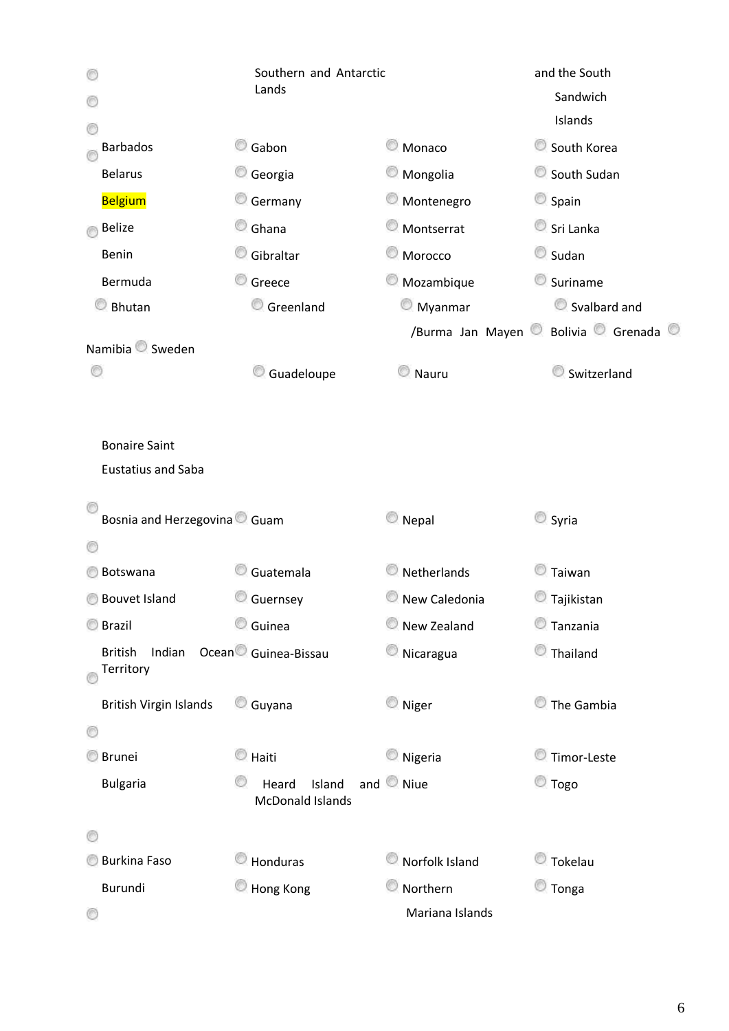|                                          | Southern and Antarctic           | and the South    |                       |  |
|------------------------------------------|----------------------------------|------------------|-----------------------|--|
|                                          | Lands                            |                  |                       |  |
|                                          |                                  |                  | Islands               |  |
| <b>Barbados</b>                          | Gabon                            | Monaco           | South Korea           |  |
| <b>Belarus</b>                           | Georgia                          | Mongolia         | South Sudan           |  |
| <b>Belgium</b>                           | Germany                          | Montenegro       | Spain                 |  |
| <b>Belize</b>                            | O<br>Ghana                       | Montserrat       | Sri Lanka             |  |
| Benin                                    | Gibraltar                        | Morocco          | Sudan                 |  |
| Bermuda                                  | O<br>Greece                      | Mozambique       | Suriname              |  |
| Bhutan                                   | Greenland                        | Myanmar          | Svalbard and          |  |
|                                          |                                  | /Burma Jan Mayen | Bolivia Grenada ®     |  |
| Namibia <sup>O</sup> Sweden              |                                  |                  |                       |  |
|                                          | Guadeloupe                       | Nauru            | Switzerland           |  |
|                                          |                                  |                  |                       |  |
| <b>Bonaire Saint</b>                     |                                  |                  |                       |  |
| <b>Eustatius and Saba</b>                |                                  |                  |                       |  |
|                                          |                                  |                  |                       |  |
| Bosnia and Herzegovina <sup>O</sup> Guam |                                  | $\bigcirc$ Nepal | Syria                 |  |
|                                          |                                  |                  |                       |  |
| Botswana                                 | Guatemala                        | Netherlands      | $\blacksquare$ Taiwan |  |
| <b>Bouvet Island</b>                     | Guernsey                         | New Caledonia    | C Tajikistan          |  |
| <b>Brazil</b>                            | C Guinea                         | New Zealand      | Tanzania              |  |
| Indian<br><b>British</b>                 | Ocean <sup>O</sup> Guinea-Bissau | Nicaragua        | Thailand              |  |
| Territory                                |                                  |                  |                       |  |
| <b>British Virgin Islands</b>            | O<br>Guyana                      | $\circ$ Niger    | The Gambia            |  |
| O                                        |                                  |                  |                       |  |
| <b>Brunei</b>                            | $\circledcirc$ Haiti             | Nigeria          | Timor-Leste           |  |
| <b>Bulgaria</b>                          | Island<br>Heard                  | and Niue         | C Togo                |  |
|                                          | <b>McDonald Islands</b>          |                  |                       |  |
|                                          |                                  |                  |                       |  |
| <b>Burkina Faso</b>                      | Honduras                         | Norfolk Island   | C Tokelau             |  |
| Burundi                                  | Hong Kong                        | Northern         | $\bullet$ Tonga       |  |
|                                          |                                  | Mariana Islands  |                       |  |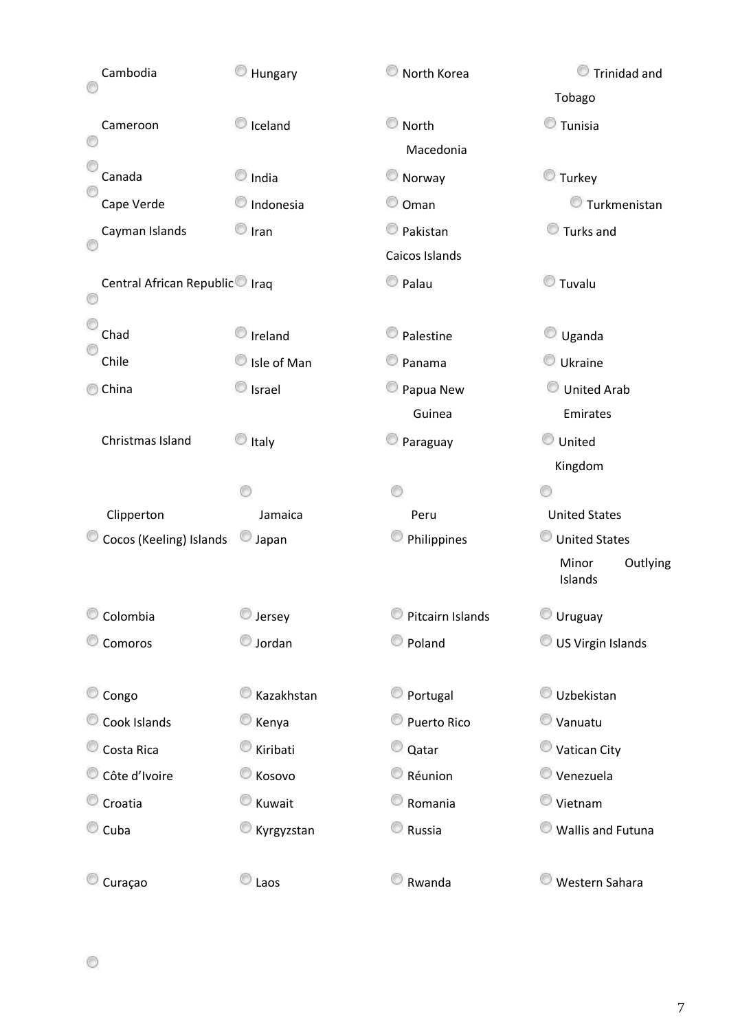| Cambodia                                   | Hungary             | North Korea      | <b>Trinidad and</b>          |
|--------------------------------------------|---------------------|------------------|------------------------------|
|                                            |                     |                  | Tobago                       |
| Cameroon                                   | Cleland             | North            | $\bullet$ Tunisia            |
|                                            |                     | Macedonia        |                              |
| Canada                                     | $\bigcirc$ India    | Norway           | C Turkey                     |
| Cape Verde                                 | Indonesia           | Oman             | Turkmenistan                 |
| Cayman Islands                             | $\circ$ Iran        | Pakistan         | Turks and                    |
|                                            |                     | Caicos Islands   |                              |
| Central African Republic <sup>o</sup> Iraq |                     | C Palau          | C Tuvalu                     |
| Chad                                       | Ireland             | Palestine        | $\bigcirc$ Uganda            |
| Chile                                      | Isle of Man         | Panama           | Ukraine                      |
| China<br>⊛                                 | Scrael              | Papua New        | United Arab                  |
|                                            |                     | Guinea           | Emirates                     |
| Christmas Island                           | $\bullet$ Italy     | Paraguay         | United                       |
|                                            |                     |                  | Kingdom                      |
|                                            |                     |                  |                              |
| Clipperton                                 | Jamaica             | Peru             | <b>United States</b>         |
| Cocos (Keeling) Islands                    | Japan               | Philippines      | United States                |
|                                            |                     |                  | Minor<br>Outlying<br>Islands |
| O<br>Colombia                              | <b>D</b> Jersey     | Pitcairn Islands | Uruguay                      |
| Comoros                                    | Sordan              | Poland           | US Virgin Islands            |
| Congo                                      | Kazakhstan          | Portugal         | Uzbekistan                   |
| Cook Islands                               | C Kenya             | Puerto Rico      | Vanuatu                      |
| Costa Rica                                 | Kiribati            | © Qatar          | Vatican City                 |
| Côte d'Ivoire                              | <b>Kosovo</b>       | Réunion          | Venezuela                    |
| Croatia                                    | C Kuwait            | Romania          | Vietnam                      |
| $\bullet$ Cuba                             | Kyrgyzstan          | Russia           | <b>Wallis and Futuna</b>     |
|                                            |                     |                  |                              |
| Curaçao                                    | $\circledcirc$ Laos | Rwanda           | <b>Western Sahara</b>        |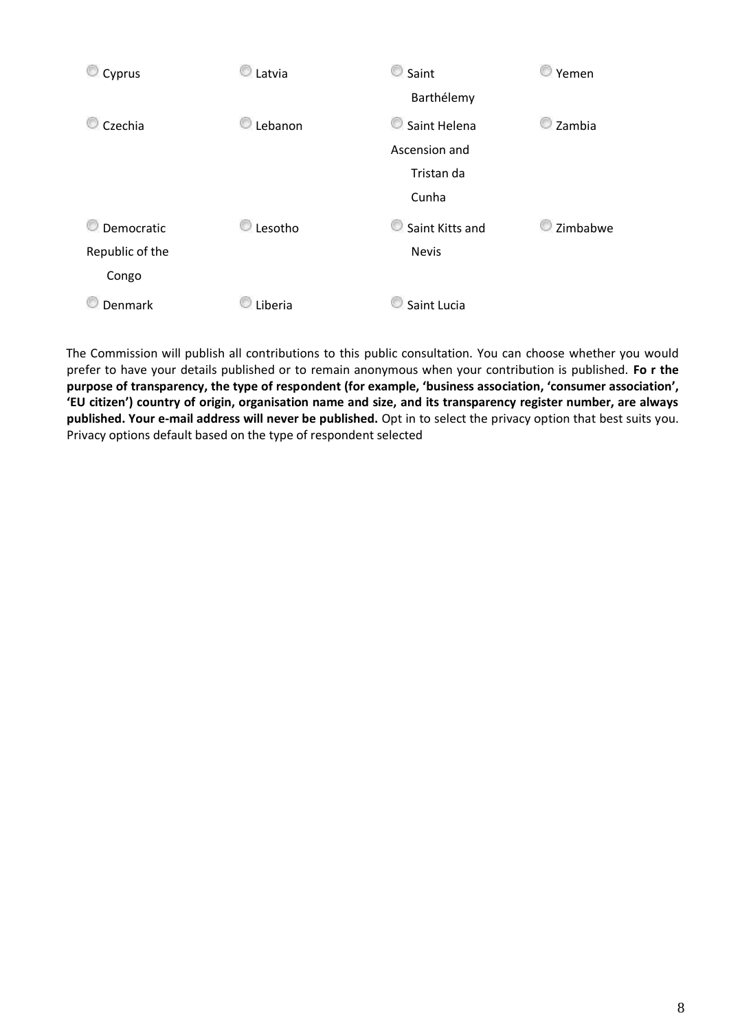

The Commission will publish all contributions to this public consultation. You can choose whether you would prefer to have your details published or to remain anonymous when your contribution is published. **Fo r the purpose of transparency, the type of respondent (for example, 'business association, 'consumer association', 'EU citizen') country of origin, organisation name and size, and its transparency register number, are always published. Your e-mail address will never be published.** Opt in to select the privacy option that best suits you. Privacy options default based on the type of respondent selected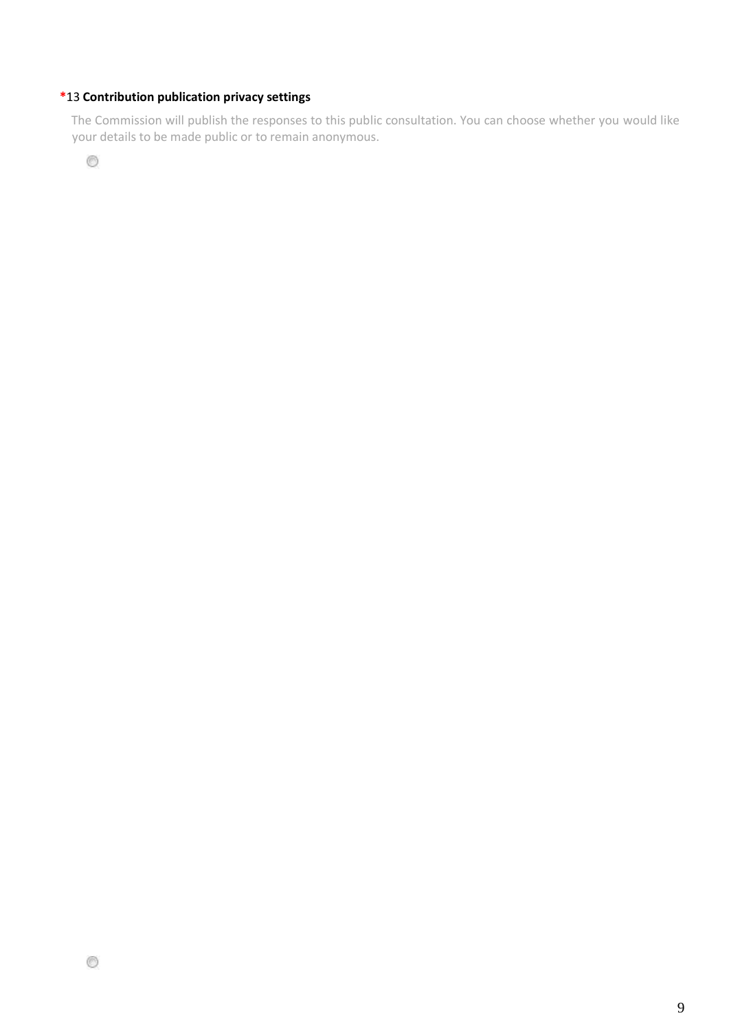# **\***13 **Contribution publication privacy settings**

The Commission will publish the responses to this public consultation. You can choose whether you would like your details to be made public or to remain anonymous.

 $^{\circ}$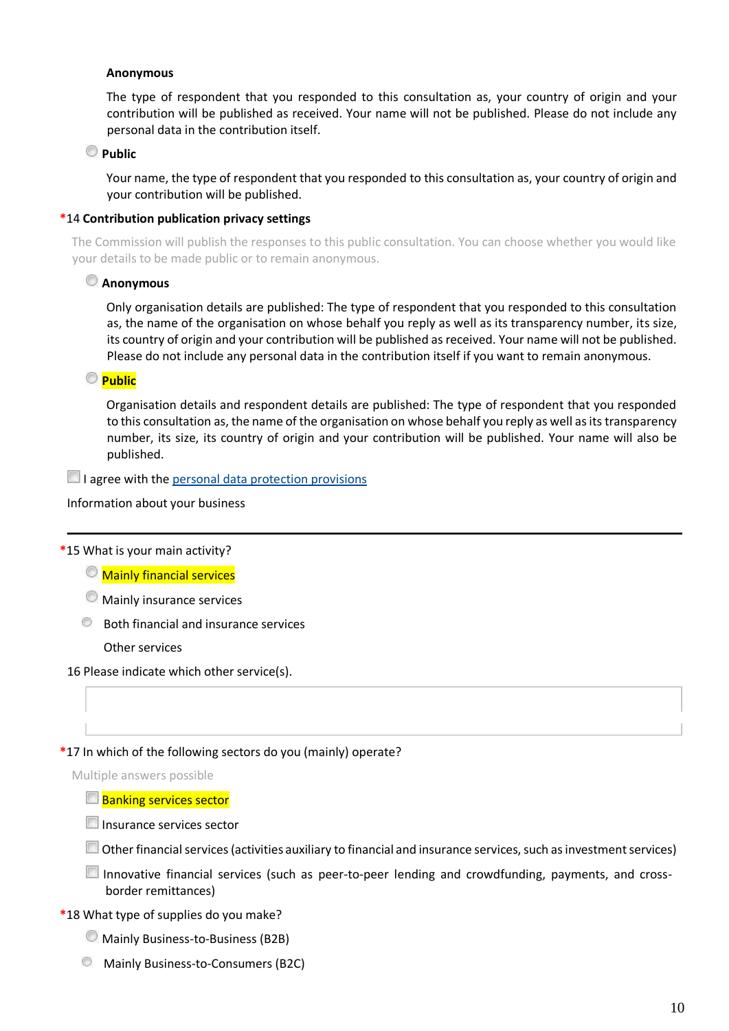#### **Anonymous**

The type of respondent that you responded to this consultation as, your country of origin and your contribution will be published as received. Your name will not be published. Please do not include any personal data in the contribution itself.

# **Public**

Your name, the type of respondent that you responded to this consultation as, your country of origin and your contribution will be published.

### **\***14 **Contribution publication privacy settings**

The Commission will publish the responses to this public consultation. You can choose whether you would like your details to be made public or to remain anonymous.

### **Anonymous**

Only organisation details are published: The type of respondent that you responded to this consultation as, the name of the organisation on whose behalf you reply as well as its transparency number, its size, its country of origin and your contribution will be published as received. Your name will not be published. Please do not include any personal data in the contribution itself if you want to remain anonymous.

# **Public**

Organisation details and respondent details are published: The type of respondent that you responded to this consultation as, the name of the organisation on whose behalf you reply as well as its transparency number, its size, its country of origin and your contribution will be published. Your name will also be published.

 $\Box$  I agree with the [personal data protection provisions](https://ec.europa.eu/info/law/better-regulation/specific-privacy-statement)

Information about your business

**\***15 What is your main activity?

**Mainly financial services** 

- **Mainly insurance services**
- **Both financial and insurance services**

Other services

16 Please indicate which other service(s).

#### **\***17 In which of the following sectors do you (mainly) operate?

Multiple answers possible

#### **Banking services sector**

Insurance services sector

Other financial services (activities auxiliary to financial and insurance services, such as investment services)

Innovative financial services (such as peer-to-peer lending and crowdfunding, payments, and crossborder remittances)

#### **\***18 What type of supplies do you make?

Mainly Business-to-Business (B2B)

**Mainly Business-to-Consumers (B2C)**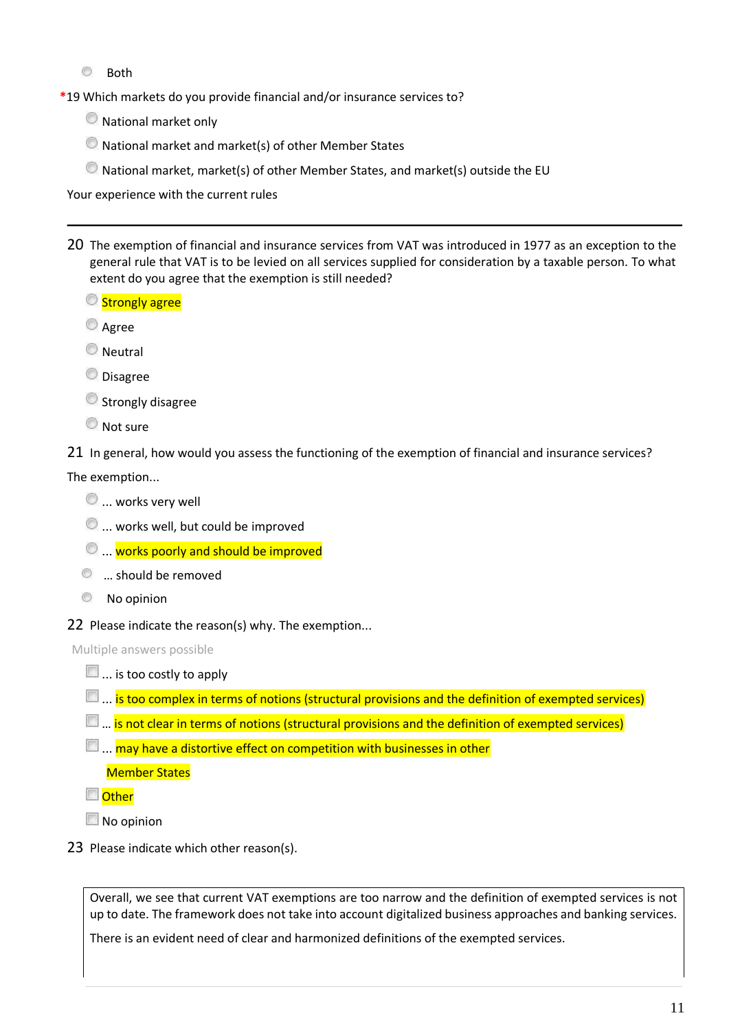◉ Both

**\***19 Which markets do you provide financial and/or insurance services to?

- National market only
- National market and market(s) of other Member States
- National market, market(s) of other Member States, and market(s) outside the EU

Your experience with the current rules

- 20 The exemption of financial and insurance services from VAT was introduced in 1977 as an exception to the general rule that VAT is to be levied on all services supplied for consideration by a taxable person. To what extent do you agree that the exemption is still needed?
	- Strongly agree
	- **Agree**
	- **Neutral**

**O** Disagree

**Strongly disagree** 

**Not sure** 

21 In general, how would you assess the functioning of the exemption of financial and insurance services?

#### The exemption...

- $\mathcal{O}$  ... works very well
- $\bullet$  ... works well, but could be improved
- $\textcircled{1}$ ... works poorly and should be improved
- **<sup>th</sup>** ... should be removed
- **No opinion**
- 22 Please indicate the reason(s) why. The exemption...

Multiple answers possible

- $\blacksquare$  ... is too costly to apply
- **E....** is too complex in terms of notions (structural provisions and the definition of exempted services)
- **E.** ... is not clear in terms of notions (structural provisions and the definition of exempted services)
- $\Box$  ... may have a distortive effect on competition with businesses in other

Member States

**Other** 

No opinion

23 Please indicate which other reason(s).

Overall, we see that current VAT exemptions are too narrow and the definition of exempted services is not up to date. The framework does not take into account digitalized business approaches and banking services.

There is an evident need of clear and harmonized definitions of the exempted services.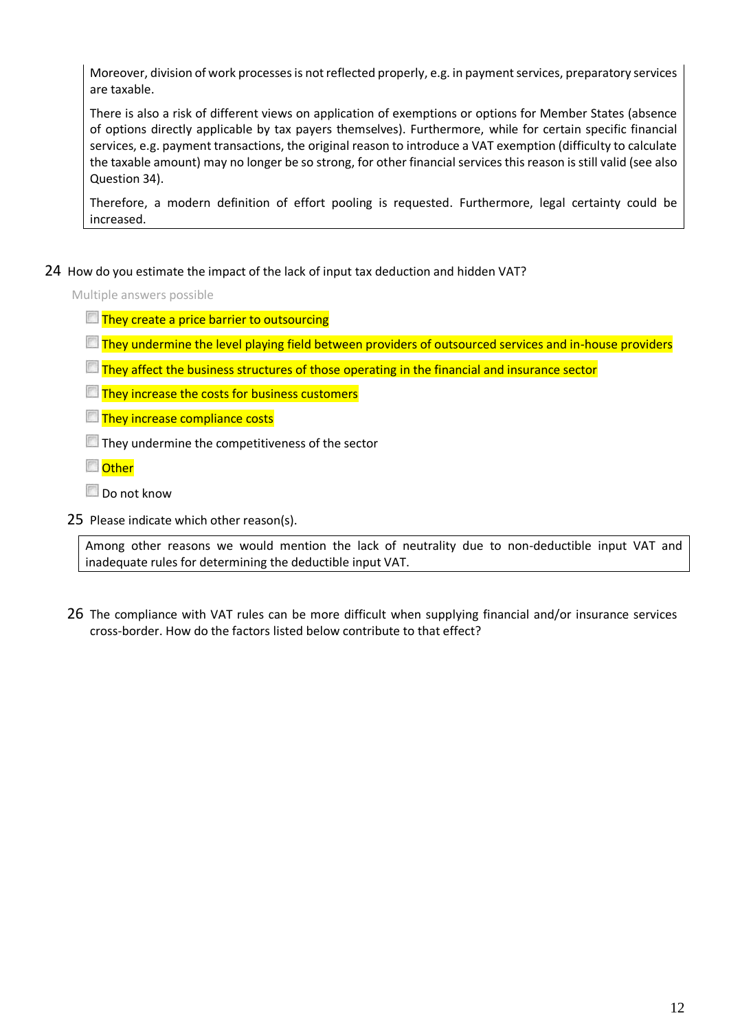Moreover, division of work processes is not reflected properly, e.g. in payment services, preparatory services are taxable.

There is also a risk of different views on application of exemptions or options for Member States (absence of options directly applicable by tax payers themselves). Furthermore, while for certain specific financial services, e.g. payment transactions, the original reason to introduce a VAT exemption (difficulty to calculate the taxable amount) may no longer be so strong, for other financial services this reason is still valid (see also Question 34).

Therefore, a modern definition of effort pooling is requested. Furthermore, legal certainty could be increased.

24 How do you estimate the impact of the lack of input tax deduction and hidden VAT?

Multiple answers possible

- $\Box$  They create a price barrier to outsourcing
- They undermine the level playing field between providers of outsourced services and in-house providers
- $\Box$  They affect the business structures of those operating in the financial and insurance sector
- $\Box$  They increase the costs for business customers

**They increase compliance costs** 

They undermine the competitiveness of the sector

**Other** 

- Do not know
- 25 Please indicate which other reason(s).

Among other reasons we would mention the lack of neutrality due to non-deductible input VAT and inadequate rules for determining the deductible input VAT.

26 The compliance with VAT rules can be more difficult when supplying financial and/or insurance services cross-border. How do the factors listed below contribute to that effect?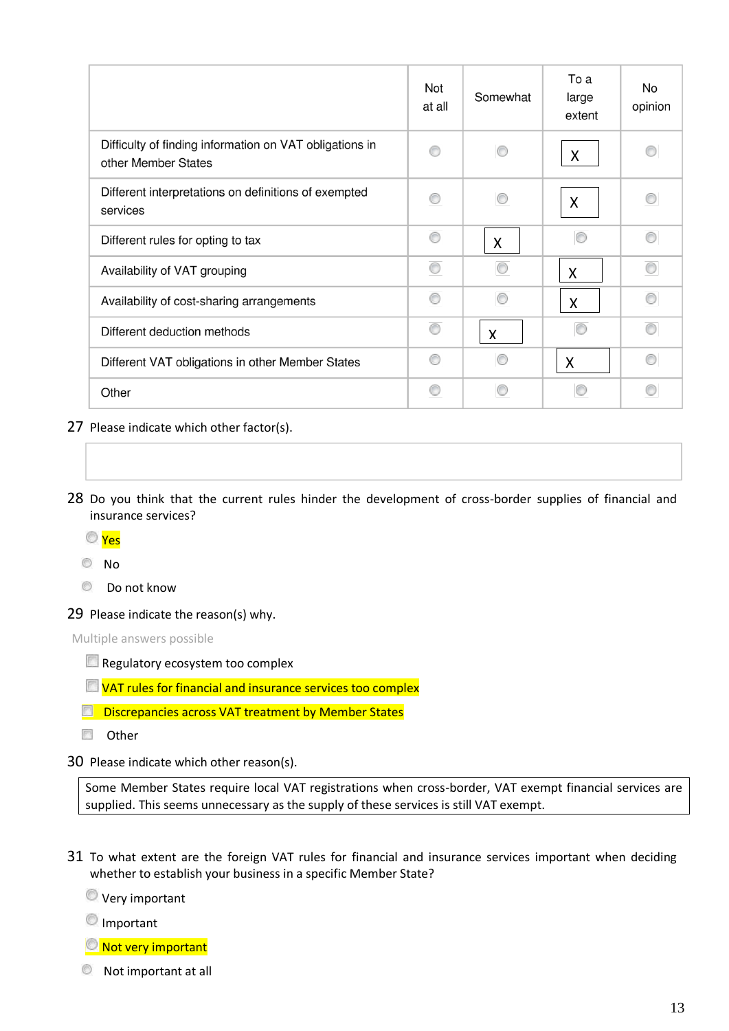|                                                                                | Not<br>at all | Somewhat                  | To a<br>large<br>extent   | No<br>opinion |
|--------------------------------------------------------------------------------|---------------|---------------------------|---------------------------|---------------|
| Difficulty of finding information on VAT obligations in<br>other Member States | ∩             | ∩                         | X                         | ⋒             |
| Different interpretations on definitions of exempted<br>services               | ∩             | ⋒                         | $\boldsymbol{\mathsf{X}}$ | ⋒             |
| Different rules for opting to tax                                              | ⋒             | $\mathsf{X}$              |                           | m             |
| Availability of VAT grouping                                                   | ∩             | ∩                         | X                         | ∩             |
| Availability of cost-sharing arrangements                                      | ∩             | ∩                         | $\mathsf{X}$              | ◎             |
| Different deduction methods                                                    | ∩             | $\boldsymbol{\mathsf{X}}$ |                           | ⋒             |
| Different VAT obligations in other Member States                               | ⋒             |                           | X                         | ⋒             |
| Other                                                                          | ∩             | 63                        |                           | ⋒             |

- 27 Please indicate which other factor(s).
- 28 Do you think that the current rules hinder the development of cross-border supplies of financial and insurance services?
	- Yes

No

- $\circledcirc$ Do not know
- 29 Please indicate the reason(s) why.

Multiple answers possible

- Regulatory ecosystem too complex
- $\Box$  VAT rules for financial and insurance services too complex
- **Discrepancies across VAT treatment by Member States**
- **D** Other
- 30 Please indicate which other reason(s).

Some Member States require local VAT registrations when cross-border, VAT exempt financial services are supplied. This seems unnecessary as the supply of these services is still VAT exempt.

31 To what extent are the foreign VAT rules for financial and insurance services important when deciding whether to establish your business in a specific Member State?

**Very important** 

- **O**Important
- Not very important
- Not important at all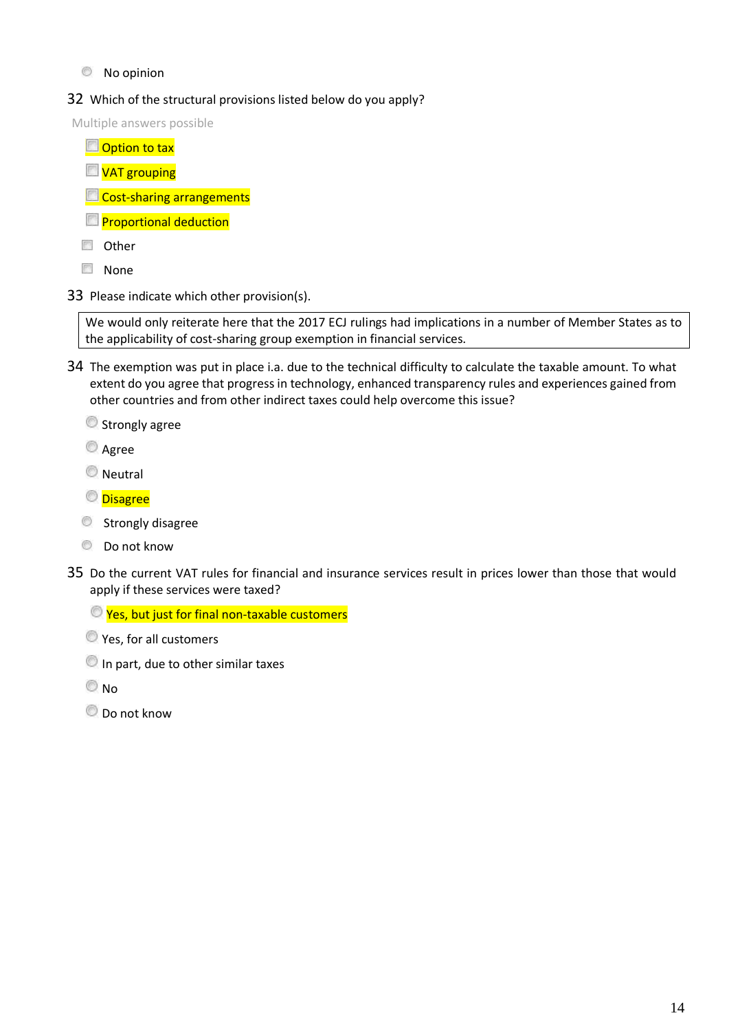### $\circledcirc$  No opinion

# 32 Which of the structural provisions listed below do you apply?

Multiple answers possible

- **Option to tax VAT** grouping **Cost-sharing arrangements Proportional deduction Other**
- **None**
- 33 Please indicate which other provision(s).

We would only reiterate here that the 2017 ECJ rulings had implications in a number of Member States as to the applicability of cost-sharing group exemption in financial services.

34 The exemption was put in place i.a. due to the technical difficulty to calculate the taxable amount. To what extent do you agree that progress in technology, enhanced transparency rules and experiences gained from other countries and from other indirect taxes could help overcome this issue?

Strongly agree

**Agree** 

**Neutral** 

**Disagree** 

- Strongly disagree
- $\circledcirc$  Do not know
- 35 Do the current VAT rules for financial and insurance services result in prices lower than those that would apply if these services were taxed?

 $\bullet$  Yes, but just for final non-taxable customers

**O** Yes, for all customers

In part, due to other similar taxes

 $\odot$  No

 $\bullet$  Do not know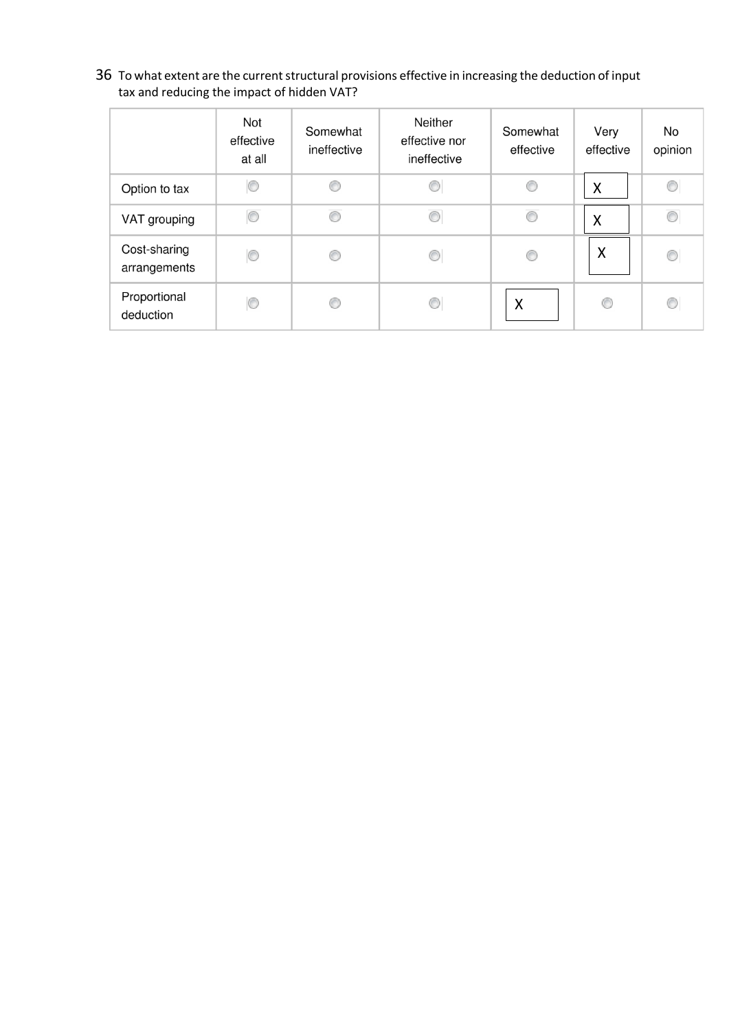36 To what extent are the current structural provisions effective in increasing the deduction of input tax and reducing the impact of hidden VAT?

|                              | Not<br>effective<br>at all | Somewhat<br>ineffective | Neither<br>effective nor<br>ineffective | Somewhat<br>effective | Very<br>effective | No<br>opinion  |
|------------------------------|----------------------------|-------------------------|-----------------------------------------|-----------------------|-------------------|----------------|
| Option to tax                | ⊙                          | C                       | C                                       | €                     | X                 | O              |
| VAT grouping                 | 0                          | O                       | €                                       | C                     | X                 | C              |
| Cost-sharing<br>arrangements | 0                          | O                       | O                                       | 0                     | X                 | 0              |
| Proportional<br>deduction    | ⊙                          | O                       | C                                       | X                     | 0                 | $\circledcirc$ |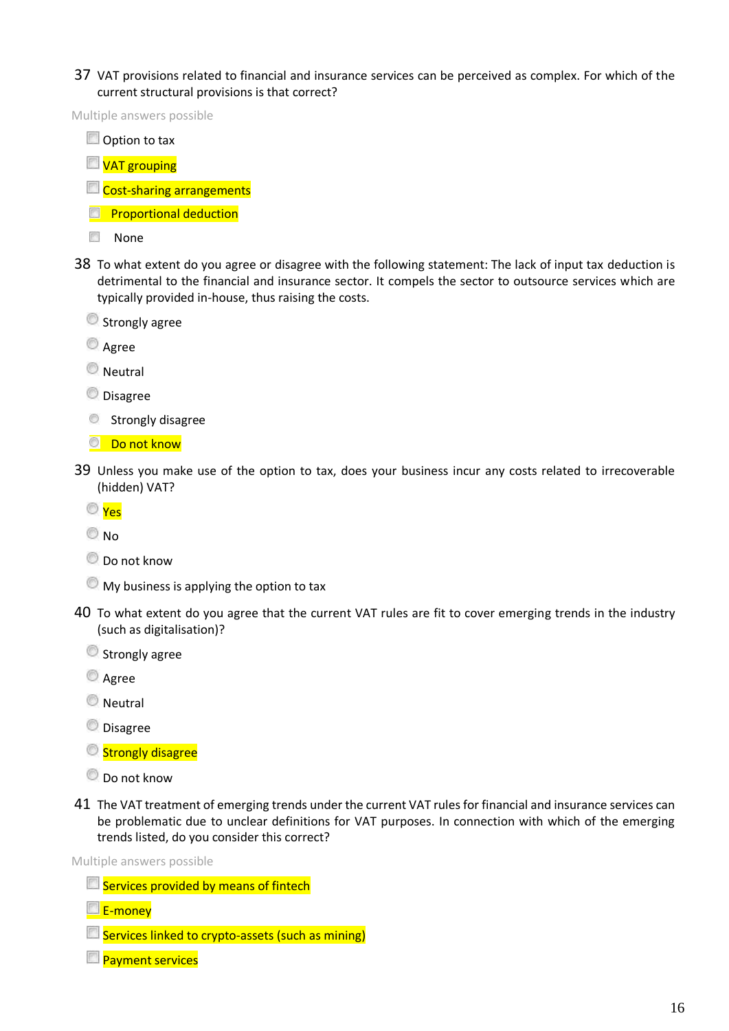37 VAT provisions related to financial and insurance services can be perceived as complex. For which of the current structural provisions is that correct?

Multiple answers possible

Option to tax

**VAT grouping** 

**Cost-sharing arrangements** 

- **Proportional deduction**
- **None**
- 38 To what extent do you agree or disagree with the following statement: The lack of input tax deduction is detrimental to the financial and insurance sector. It compels the sector to outsource services which are typically provided in-house, thus raising the costs.
	- Strongly agree
	- **Agree**

**Neutral** 

**O** Disagree

- Strongly disagree
- **Do not know**
- 39 Unless you make use of the option to tax, does your business incur any costs related to irrecoverable (hidden) VAT?
	- Yes

O<sub>No</sub>

- $\bullet$  Do not know
- $\bullet$  My business is applying the option to tax
- 40 To what extent do you agree that the current VAT rules are fit to cover emerging trends in the industry (such as digitalisation)?
	- Strongly agree
	- **Agree**
	- **Neutral**
	- **Disagree**
	- Strongly disagree
	- $\bullet$  Do not know
- 41 The VAT treatment of emerging trends under the current VAT rules for financial and insurance services can be problematic due to unclear definitions for VAT purposes. In connection with which of the emerging trends listed, do you consider this correct?

Multiple answers possible

- Services provided by means of fintech
- E-money
- $\Box$  Services linked to crypto-assets (such as mining)
- **Payment services**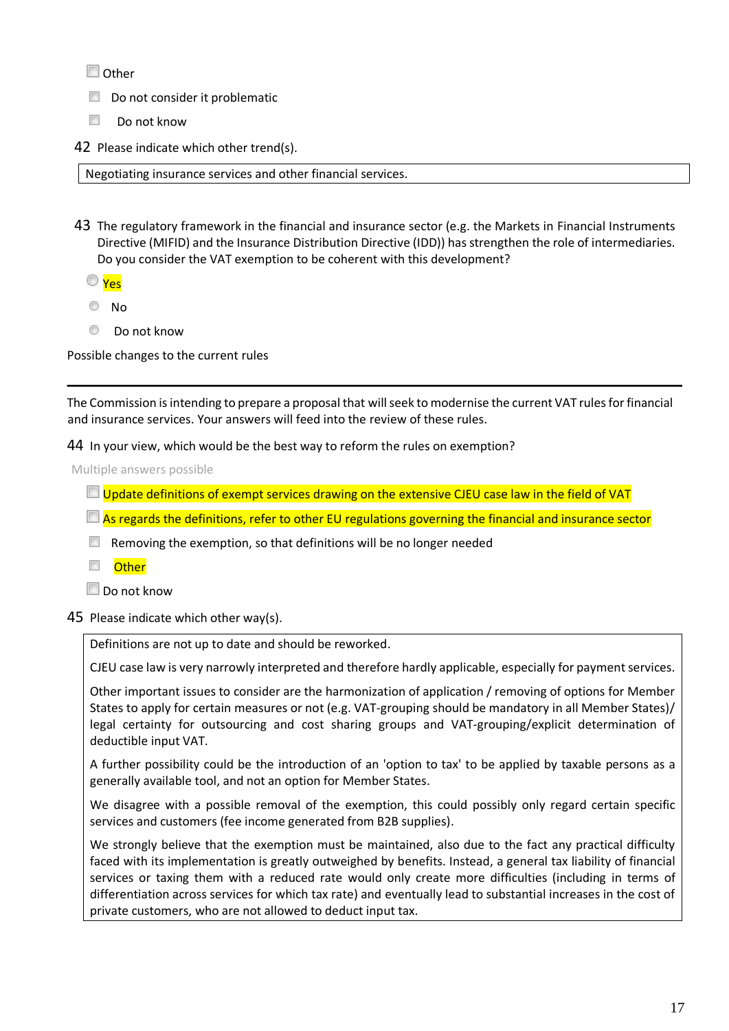**Other** 

Do not consider it problematic

- 國 Do not know
- 42 Please indicate which other trend(s).

Negotiating insurance services and other financial services.

- 43 The regulatory framework in the financial and insurance sector (e.g. the Markets in Financial Instruments Directive (MIFID) and the Insurance Distribution Directive (IDD)) has strengthen the role of intermediaries. Do you consider the VAT exemption to be coherent with this development?
	- Yes
	- $\circ$  No
	- **Do not know**

Possible changes to the current rules

The Commission is intending to prepare a proposal that will seek to modernise the current VAT rules for financial and insurance services. Your answers will feed into the review of these rules.

44 In your view, which would be the best way to reform the rules on exemption?

Multiple answers possible

- **Update definitions of exempt services drawing on the extensive CJEU case law in the field of VAT**
- $\Box$  As regards the definitions, refer to other EU regulations governing the financial and insurance sector
- $\Box$  Removing the exemption, so that definitions will be no longer needed
- Other

Do not know

45 Please indicate which other way(s).

Definitions are not up to date and should be reworked.

CJEU case law is very narrowly interpreted and therefore hardly applicable, especially for payment services.

Other important issues to consider are the harmonization of application / removing of options for Member States to apply for certain measures or not (e.g. VAT-grouping should be mandatory in all Member States)/ legal certainty for outsourcing and cost sharing groups and VAT-grouping/explicit determination of deductible input VAT.

A further possibility could be the introduction of an 'option to tax' to be applied by taxable persons as a generally available tool, and not an option for Member States.

We disagree with a possible removal of the exemption, this could possibly only regard certain specific services and customers (fee income generated from B2B supplies).

We strongly believe that the exemption must be maintained, also due to the fact any practical difficulty faced with its implementation is greatly outweighed by benefits. Instead, a general tax liability of financial services or taxing them with a reduced rate would only create more difficulties (including in terms of differentiation across services for which tax rate) and eventually lead to substantial increases in the cost of private customers, who are not allowed to deduct input tax.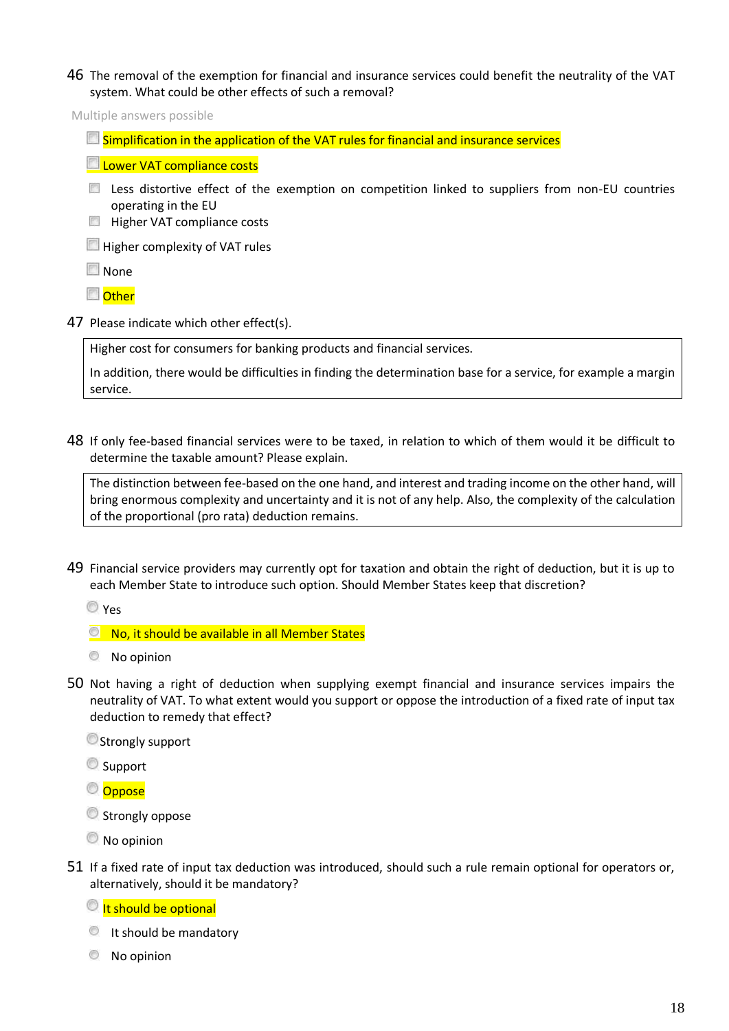46 The removal of the exemption for financial and insurance services could benefit the neutrality of the VAT system. What could be other effects of such a removal?

Multiple answers possible

 $\Box$  Simplification in the application of the VAT rules for financial and insurance services

**Lower VAT compliance costs** 

- Less distortive effect of the exemption on competition linked to suppliers from non-EU countries operating in the EU
- **Higher VAT compliance costs**

**Higher complexity of VAT rules** 

**None** 

**Other** 

47 Please indicate which other effect(s).

Higher cost for consumers for banking products and financial services.

In addition, there would be difficulties in finding the determination base for a service, for example a margin service.

48 If only fee-based financial services were to be taxed, in relation to which of them would it be difficult to determine the taxable amount? Please explain.

The distinction between fee-based on the one hand, and interest and trading income on the other hand, will bring enormous complexity and uncertainty and it is not of any help. Also, the complexity of the calculation of the proportional (pro rata) deduction remains.

49 Financial service providers may currently opt for taxation and obtain the right of deduction, but it is up to each Member State to introduce such option. Should Member States keep that discretion?

Yes

- <sup>®</sup> No, it should be available in all Member States
- No opinion
- 50 Not having a right of deduction when supplying exempt financial and insurance services impairs the neutrality of VAT. To what extent would you support or oppose the introduction of a fixed rate of input tax deduction to remedy that effect?

**Strongly support** 

- Support
- © Oppose
- **Strongly oppose**
- No opinion
- 51 If a fixed rate of input tax deduction was introduced, should such a rule remain optional for operators or, alternatively, should it be mandatory?

It should be optional

- It should be mandatory
- **No opinion**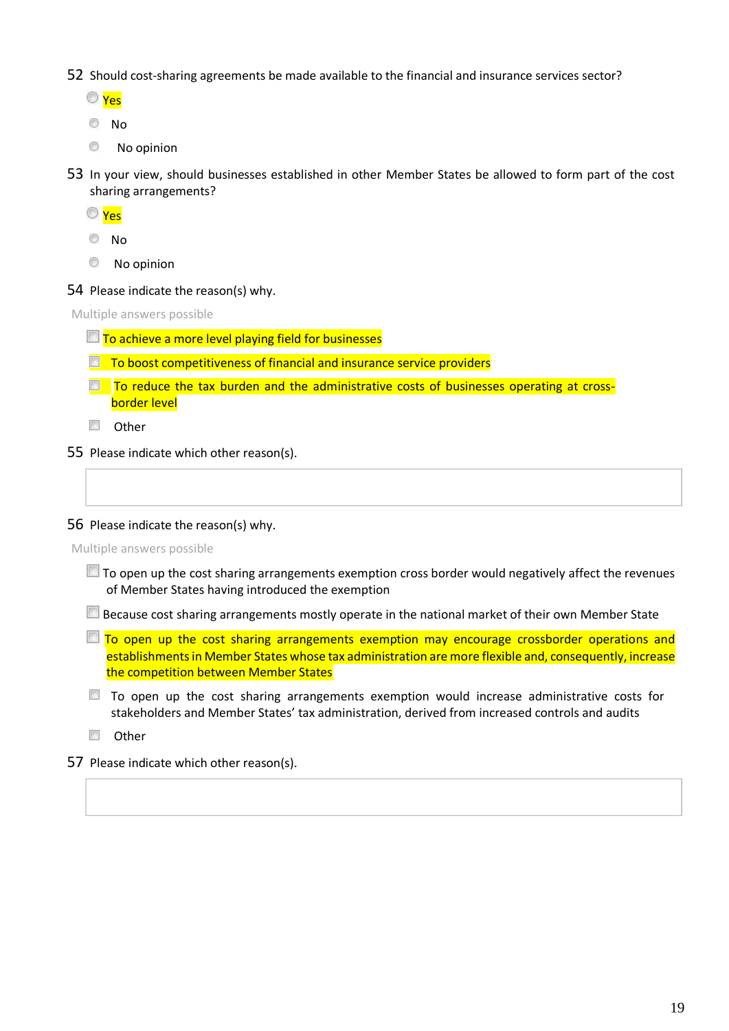52 Should cost-sharing agreements be made available to the financial and insurance services sector?

- Yes
- No
- ◉ No opinion
- 53 In your view, should businesses established in other Member States be allowed to form part of the cost sharing arrangements?
	- Yes
	- No
	- **No opinion**
- 54 Please indicate the reason(s) why.

Multiple answers possible

- $\Box$  To achieve a more level playing field for businesses
- $\Box$  To boost competitiveness of financial and insurance service providers
- $\Box$  To reduce the tax burden and the administrative costs of businesses operating at crossborder level

**D** Other

55 Please indicate which other reason(s).

56 Please indicate the reason(s) why.

Multiple answers possible

 $\Box$  To open up the cost sharing arrangements exemption cross border would negatively affect the revenues of Member States having introduced the exemption

Because cost sharing arrangements mostly operate in the national market of their own Member State

- $\Box$  To open up the cost sharing arrangements exemption may encourage crossborder operations and establishments in Member States whose tax administration are more flexible and, consequently, increase the competition between Member States
- To open up the cost sharing arrangements exemption would increase administrative costs for stakeholders and Member States' tax administration, derived from increased controls and audits

**D** Other

57 Please indicate which other reason(s).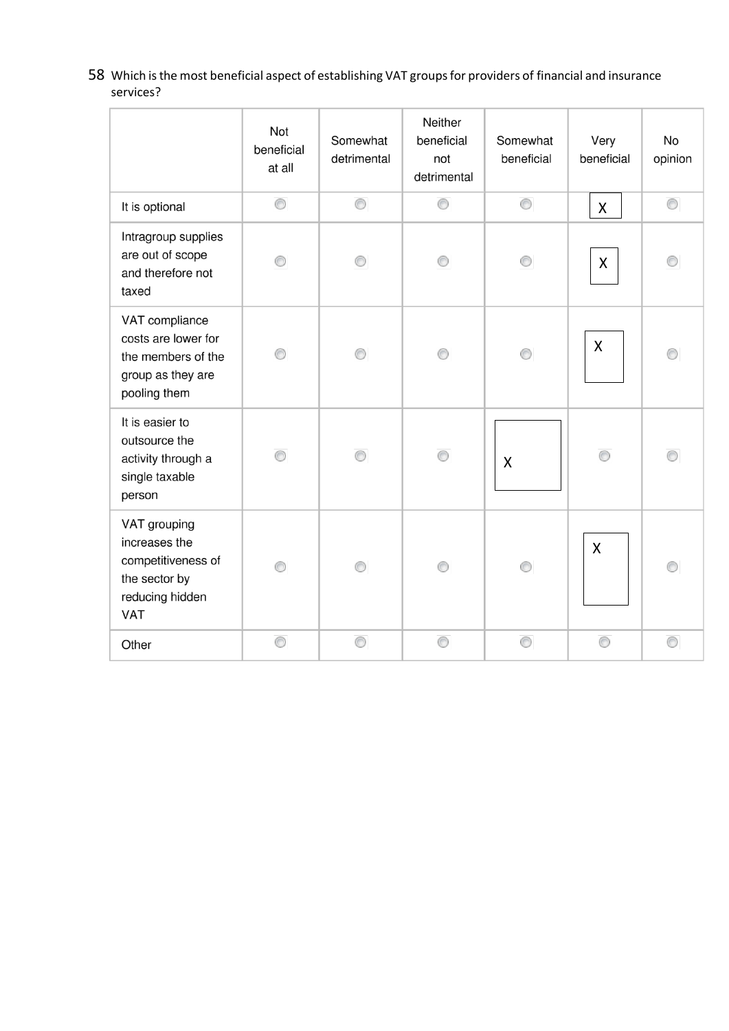58 Which is the most beneficial aspect of establishing VAT groups for providers of financial and insurance services?

|                                                                                                  | Not<br>beneficial<br>at all | Somewhat<br>detrimental | Neither<br>beneficial<br>not<br>detrimental | Somewhat<br>beneficial | Very<br>beneficial | No<br>opinion  |
|--------------------------------------------------------------------------------------------------|-----------------------------|-------------------------|---------------------------------------------|------------------------|--------------------|----------------|
| It is optional                                                                                   | 0                           | 0                       | 0                                           | 0                      | $\mathsf{X}$       | $\circledcirc$ |
| Intragroup supplies<br>are out of scope<br>and therefore not<br>taxed                            | ⊙                           | ∩                       | ⊙                                           | ∩                      | X                  |                |
| VAT compliance<br>costs are lower for<br>the members of the<br>group as they are<br>pooling them | ⊙                           | ∩                       |                                             | ⋒                      | X                  |                |
| It is easier to<br>outsource the<br>activity through a<br>single taxable<br>person               |                             |                         | ⊙                                           | X                      |                    |                |
| VAT grouping<br>increases the<br>competitiveness of<br>the sector by<br>reducing hidden<br>VAT   | ∩                           | ∩                       | ∩                                           | ∩                      | $\mathsf{X}$       |                |
| Other                                                                                            | 0                           | 0                       | 0                                           | 0                      | ⊙                  | ⊙              |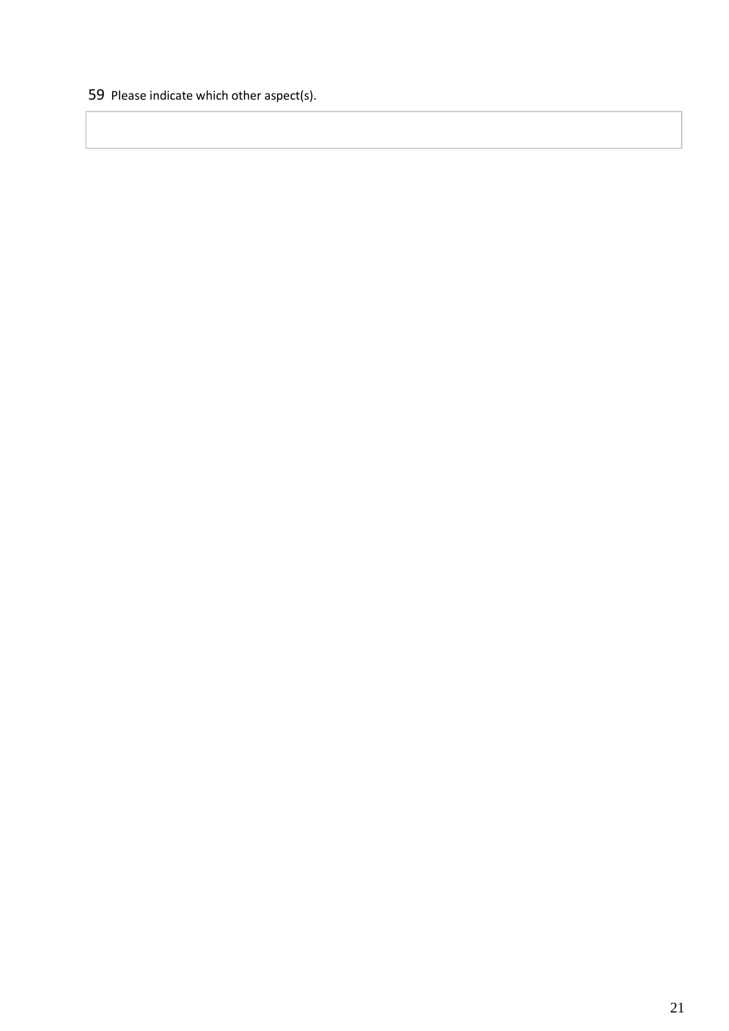Please indicate which other aspect(s).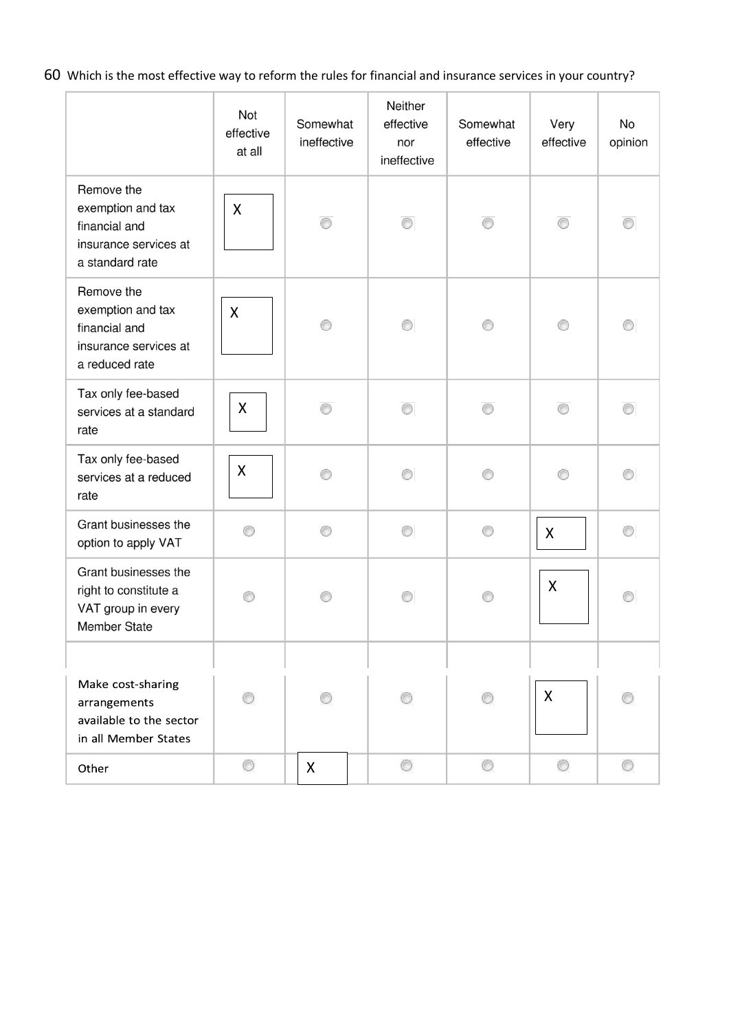60 Which is the most effective way to reform the rules for financial and insurance services in your country?

|                                                                                              | Not<br>effective<br>at all | Somewhat<br>ineffective | Neither<br>effective<br>nor<br>ineffective | Somewhat<br>effective | Very<br>effective         | No<br>opinion  |
|----------------------------------------------------------------------------------------------|----------------------------|-------------------------|--------------------------------------------|-----------------------|---------------------------|----------------|
| Remove the<br>exemption and tax<br>financial and<br>insurance services at<br>a standard rate | $\mathsf{X}$               | ⊙                       | ⊙                                          | ⊙                     | ⊙                         | ⊙              |
| Remove the<br>exemption and tax<br>financial and<br>insurance services at<br>a reduced rate  | X                          | ∩                       |                                            |                       | 0                         |                |
| Tax only fee-based<br>services at a standard<br>rate                                         | $\pmb{\mathsf{X}}$         | ∩                       | ∩                                          | ∩                     |                           |                |
| Tax only fee-based<br>services at a reduced<br>rate                                          | X                          | ⊙                       | ⊙                                          | ∩                     | ∩                         |                |
| Grant businesses the<br>option to apply VAT                                                  | ∩                          | ⊙                       | ∩                                          | ∩                     | $\boldsymbol{\mathsf{X}}$ | $\circledcirc$ |
| Grant businesses the<br>right to constitute a<br>VAT group in every<br>Member State          |                            |                         |                                            |                       | X                         |                |
|                                                                                              |                            |                         |                                            |                       |                           |                |
| Make cost-sharing<br>arrangements<br>available to the sector<br>in all Member States         |                            |                         |                                            |                       | X                         |                |
| Other                                                                                        | O                          | X                       | O                                          | O                     | ◎                         | O              |